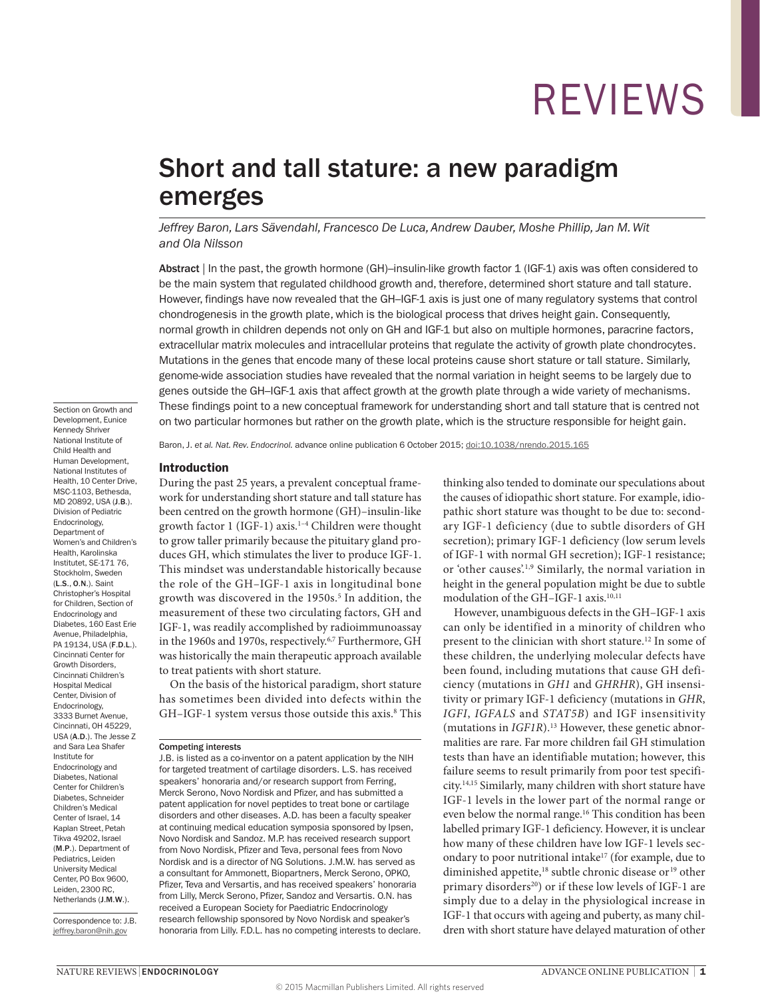## Short and tall stature: a new paradigm emerges

*Jeffrey Baron, Lars Sävendahl, Francesco De Luca, Andrew Dauber, Moshe Phillip, Jan M. Wit and Ola Nilsson*

Abstract | In the past, the growth hormone (GH)–insulin-like growth factor 1 (IGF‑1) axis was often considered to be the main system that regulated childhood growth and, therefore, determined short stature and tall stature. However, findings have now revealed that the GH–IGF-1 axis is just one of many regulatory systems that control chondrogenesis in the growth plate, which is the biological process that drives height gain. Consequently, normal growth in children depends not only on GH and IGF‑1 but also on multiple hormones, paracrine factors, extracellular matrix molecules and intracellular proteins that regulate the activity of growth plate chondrocytes. Mutations in the genes that encode many of these local proteins cause short stature or tall stature. Similarly, genome-wide association studies have revealed that the normal variation in height seems to be largely due to genes outside the GH–IGF-1 axis that affect growth at the growth plate through a wide variety of mechanisms. These findings point to a new conceptual framework for understanding short and tall stature that is centred not on two particular hormones but rather on the growth plate, which is the structure responsible for height gain.

Baron, J. et al. Nat. Rev. Endocrinol. advance online publication 6 October 2015; [doi:10.1038/nrendo.2015.165](http://dx.doi.org/10.1038/nrendo.2015.165)

#### Introduction

During the past 25 years, a prevalent conceptual framework for understanding short stature and tall stature has been centred on the growth hormone (GH)–insulin-like growth factor 1 (IGF-1) axis.1–4 Children were thought to grow taller primarily because the pituitary gland produces GH, which stimulates the liver to produce IGF-1. This mindset was understandable historically because the role of the GH–IGF-1 axis in longitudinal bone growth was discovered in the 1950s.<sup>5</sup> In addition, the measurement of these two circulating factors, GH and IGF-1, was readily accomplished by radioimmunoassay in the 1960s and 1970s, respectively.<sup>6,7</sup> Furthermore, GH was historically the main therapeutic approach available to treat patients with short stature.

On the basis of the historical paradigm, short stature has sometimes been divided into defects within the GH-IGF-1 system versus those outside this axis.<sup>8</sup> This thinking also tended to dominate our speculations about the causes of idiopathic short stature. For example, idiopathic short stature was thought to be due to: secondary IGF-1 deficiency (due to subtle disorders of GH secretion); primary IGF-1 deficiency (low serum levels of IGF-1 with normal GH secretion); IGF-1 resistance; or 'other causes'.1,9 Similarly, the normal variation in height in the general population might be due to subtle modulation of the GH–IGF-1 axis.10,11

However, unambiguous defects in the GH–IGF-1 axis can only be identified in a minority of children who present to the clinician with short stature.12 In some of these children, the underlying molecular defects have been found, including mutations that cause GH deficiency (mutations in *GH1* and *GHRHR*), GH insensitivity or primary IGF-1 deficiency (mutations in *GHR*, *IGFI*, *IGFALS* and *STAT5B*) and IGF insensitivity (mutations in *IGF1R*).<sup>13</sup> However, these genetic abnormalities are rare. Far more children fail GH stimulation tests than have an identifiable mutation; however, this failure seems to result primarily from poor test specificity.14,15 Similarly, many children with short stature have IGF-1 levels in the lower part of the normal range or even below the normal range.16 This condition has been labelled primary IGF-1 deficiency. However, it is unclear how many of these children have low IGF-1 levels secondary to poor nutritional intake<sup>17</sup> (for example, due to diminished appetite,<sup>18</sup> subtle chronic disease or<sup>19</sup> other primary disorders<sup>20</sup>) or if these low levels of IGF-1 are simply due to a delay in the physiological increase in IGF-1 that occurs with ageing and puberty, as many children with short stature have delayed maturation of other

Child Health and Human Development, National Institutes of Health, 10 Center Drive, MSC-1103, Bethesda, MD 20892, USA (J.B.). Division of Pediatric Endocrinology, Department of Women's and Children's Health, Karolinska Institutet, SE‑171 76, Stockholm, Sweden (L.S., O.N.). Saint Christopher's Hospital for Children, Section of Endocrinology and Diabetes, 160 East Erie Avenue, Philadelphia, PA 19134, USA (F.D.L.). Cincinnati Center for Growth Disorders, Cincinnati Children's Hospital Medical Center, Division of Endocrinology, 3333 Burnet Avenue, Cincinnati, OH 45229 USA (A.D.). The Jesse Z and Sara Lea Shafer Institute for Endocrinology and Diabetes, National Center for Children's Diabetes, Schneider Children's Medical Center of Israel, 14 Kaplan Street, Petah Tikva 49202, Israel (M.P.). Department of Pediatrics, Leiden University Medical Center, PO Box 9600, Leiden, 2300 RC, Netherlands (J.M.W.).

Section on Growth and Development, Eunice Kennedy Shriver National Institute of

Correspondence to: J.B. [jeffrey.baron@nih.gov](mailto:jeffrey.baron@nih.gov)

Competing interests

J.B. is listed as a co-inventor on a patent application by the NIH for targeted treatment of cartilage disorders. L.S. has received speakers' honoraria and/or research support from Ferring, Merck Serono, Novo Nordisk and Pfizer, and has submitted a patent application for novel peptides to treat bone or cartilage disorders and other diseases. A.D. has been a faculty speaker at continuing medical education symposia sponsored by Ipsen, Novo Nordisk and Sandoz. M.P. has received research support from Novo Nordisk, Pfizer and Teva, personal fees from Novo Nordisk and is a director of NG Solutions. J.M.W. has served as a consultant for Ammonett, Biopartners, Merck Serono, OPKO, Pfizer, Teva and Versartis, and has received speakers' honoraria from Lilly, Merck Serono, Pfizer, Sandoz and Versartis. O.N. has received a European Society for Paediatric Endocrinology research fellowship sponsored by Novo Nordisk and speaker's honoraria from Lilly. F.D.L. has no competing interests to declare.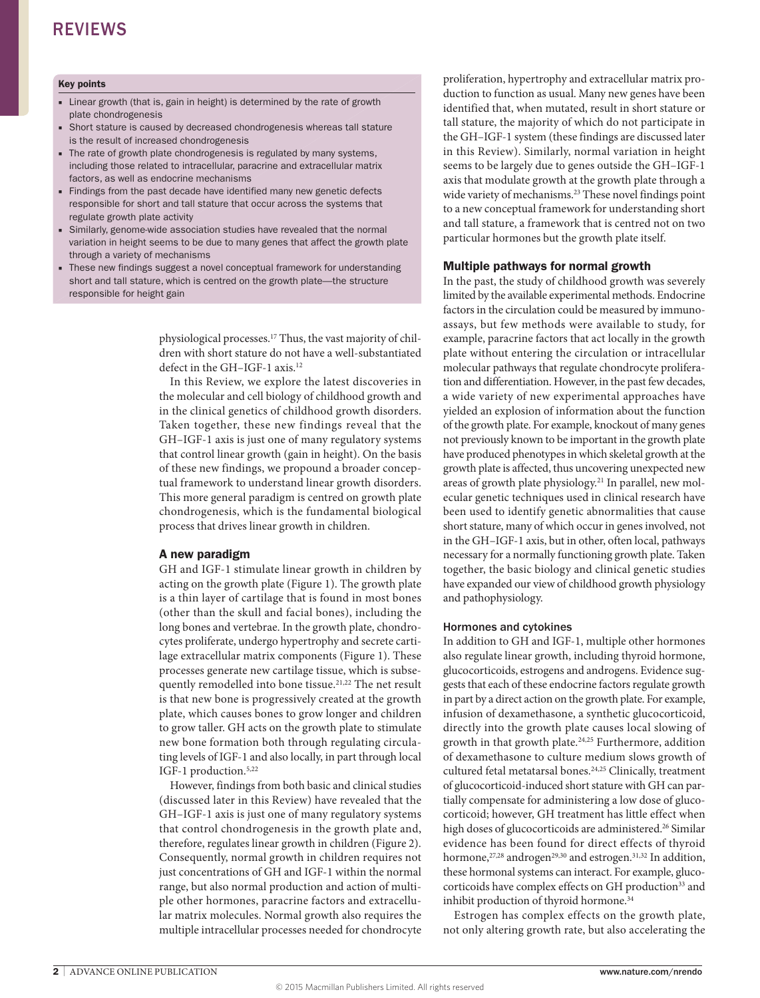#### Key points

- Linear growth (that is, gain in height) is determined by the rate of growth plate chondrogenesis
- Short stature is caused by decreased chondrogenesis whereas tall stature is the result of increased chondrogenesis
- The rate of growth plate chondrogenesis is regulated by many systems, including those related to intracellular, paracrine and extracellular matrix factors, as well as endocrine mechanisms
- Findings from the past decade have identified many new genetic defects responsible for short and tall stature that occur across the systems that regulate growth plate activity
- Similarly, genome-wide association studies have revealed that the normal variation in height seems to be due to many genes that affect the growth plate through a variety of mechanisms
- These new findings suggest a novel conceptual framework for understanding short and tall stature, which is centred on the growth plate—the structure responsible for height gain

physiological processes.17 Thus, the vast majority of children with short stature do not have a well-substantiated defect in the GH–IGF-1 axis.12

In this Review, we explore the latest discoveries in the molecular and cell biology of childhood growth and in the clinical genetics of childhood growth disorders. Taken together, these new findings reveal that the GH–IGF-1 axis is just one of many regulatory systems that control linear growth (gain in height). On the basis of these new findings, we propound a broader conceptual framework to understand linear growth disorders. This more general paradigm is centred on growth plate chondrogenesis, which is the fundamental biological process that drives linear growth in children.

#### A new paradigm

GH and IGF-1 stimulate linear growth in children by acting on the growth plate (Figure 1). The growth plate is a thin layer of cartilage that is found in most bones (other than the skull and facial bones), including the long bones and vertebrae. In the growth plate, chondrocytes proliferate, undergo hypertrophy and secrete cartilage extracellular matrix components (Figure 1). These processes generate new cartilage tissue, which is subsequently remodelled into bone tissue.<sup>21,22</sup> The net result is that new bone is progressively created at the growth plate, which causes bones to grow longer and children to grow taller. GH acts on the growth plate to stimulate new bone formation both through regulating circulating levels of IGF-1 and also locally, in part through local IGF-1 production.5,22

However, findings from both basic and clinical studies (discussed later in this Review) have revealed that the GH–IGF-1 axis is just one of many regulatory systems that control chondrogenesis in the growth plate and, therefore, regulates linear growth in children (Figure 2). Consequently, normal growth in children requires not just concentrations of GH and IGF-1 within the normal range, but also normal production and action of multiple other hormones, paracrine factors and extracellular matrix molecules. Normal growth also requires the multiple intracellular processes needed for chondrocyte proliferation, hypertrophy and extracellular matrix production to function as usual. Many new genes have been identified that, when mutated, result in short stature or tall stature, the majority of which do not participate in the GH–IGF-1 system (these findings are discussed later in this Review). Similarly, normal variation in height seems to be largely due to genes outside the GH–IGF-1 axis that modulate growth at the growth plate through a wide variety of mechanisms.23 These novel findings point to a new conceptual framework for understanding short and tall stature, a framework that is centred not on two particular hormones but the growth plate itself.

#### Multiple pathways for normal growth

In the past, the study of childhood growth was severely limited by the available experimental methods. Endocrine factors in the circulation could be measured by immunoassays, but few methods were available to study, for example, paracrine factors that act locally in the growth plate without entering the circulation or intracellular molecular pathways that regulate chondrocyte proliferation and differentiation. However, in the past few decades, a wide variety of new experimental approaches have yielded an explosion of information about the function of the growth plate. For example, knockout of many genes not previously known to be important in the growth plate have produced phenotypes in which skeletal growth at the growth plate is affected, thus uncovering unexpected new areas of growth plate physiology.21 In parallel, new molecular genetic techniques used in clinical research have been used to identify genetic abnormalities that cause short stature, many of which occur in genes involved, not in the GH–IGF-1 axis, but in other, often local, pathways necessary for a normally functioning growth plate. Taken together, the basic biology and clinical genetic studies have expanded our view of childhood growth physiology and pathophysiology.

#### Hormones and cytokines

In addition to GH and IGF-1, multiple other hormones also regulate linear growth, including thyroid hormone, glucocorticoids, estrogens and androgens. Evidence suggests that each of these endocrine factors regulate growth in part by a direct action on the growth plate. For example, infusion of dexamethasone, a synthetic glucocorticoid, directly into the growth plate causes local slowing of growth in that growth plate.<sup>24,25</sup> Furthermore, addition of dexamethasone to culture medium slows growth of cultured fetal metatarsal bones.24,25 Clinically, treatment of glucocorticoid-induced short stature with GH can partially compensate for administering a low dose of glucocorticoid; however, GH treatment has little effect when high doses of glucocorticoids are administered.<sup>26</sup> Similar evidence has been found for direct effects of thyroid hormone, $27,28$  androgen $29,30$  and estrogen. $31,32$  In addition, these hormonal systems can interact. For example, glucocorticoids have complex effects on GH production<sup>33</sup> and inhibit production of thyroid hormone.<sup>34</sup>

Estrogen has complex effects on the growth plate, not only altering growth rate, but also accelerating the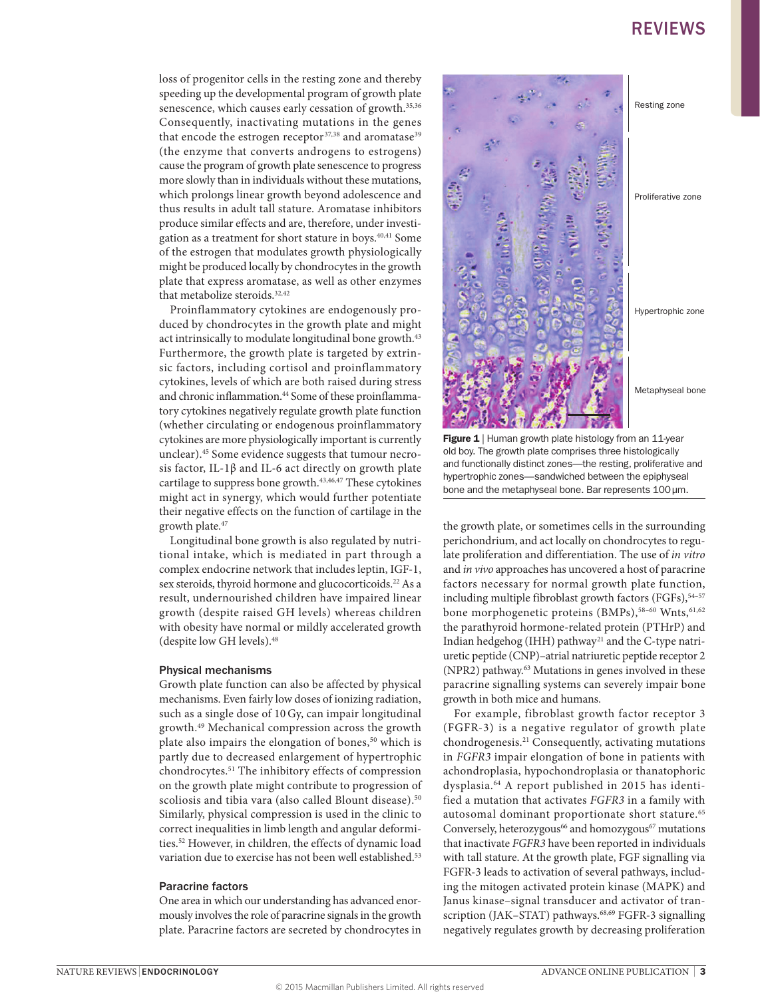loss of progenitor cells in the resting zone and thereby speeding up the developmental program of growth plate senescence, which causes early cessation of growth.<sup>35,36</sup> Consequently, inactivating mutations in the genes that encode the estrogen receptor<sup>37,38</sup> and aromatase<sup>39</sup> (the enzyme that converts androgens to estrogens) cause the program of growth plate senescence to progress more slowly than in individuals without these mutations, which prolongs linear growth beyond adolescence and thus results in adult tall stature. Aromatase inhibitors produce similar effects and are, therefore, under investigation as a treatment for short stature in boys.40,41 Some of the estrogen that modulates growth physiologically might be produced locally by chondrocytes in the growth plate that express aromatase, as well as other enzymes that metabolize steroids.<sup>32,42</sup>

Proinflammatory cytokines are endogenously produced by chondrocytes in the growth plate and might act intrinsically to modulate longitudinal bone growth.<sup>43</sup> Furthermore, the growth plate is targeted by extrinsic factors, including cortisol and proinflammatory cytokines, levels of which are both raised during stress and chronic inflammation.<sup>44</sup> Some of these proinflammatory cytokines negatively regulate growth plate function (whether circulating or endogenous proinflammatory cytokines are more physiologically important is currently unclear).45 Some evidence suggests that tumour necrosis factor, IL-1β and IL-6 act directly on growth plate cartilage to suppress bone growth.<sup>43,46,47</sup> These cytokines might act in synergy, which would further potentiate their negative effects on the function of cartilage in the growth plate.47

Longitudinal bone growth is also regulated by nutritional intake, which is mediated in part through a complex endocrine network that includes leptin, IGF-1, sex steroids, thyroid hormone and glucocorticoids.<sup>22</sup> As a result, undernourished children have impaired linear growth (despite raised GH levels) whereas children with obesity have normal or mildly accelerated growth (despite low GH levels).48

#### Physical mechanisms

Growth plate function can also be affected by physical mechanisms. Even fairly low doses of ionizing radiation, such as a single dose of 10 Gy, can impair longitudinal growth.49 Mechanical compression across the growth plate also impairs the elongation of bones,<sup>50</sup> which is partly due to decreased enlargement of hypertrophic chondrocytes.51 The inhibitory effects of compression on the growth plate might contribute to progression of scoliosis and tibia vara (also called Blount disease).<sup>50</sup> Similarly, physical compression is used in the clinic to correct inequalities in limb length and angular deformities.52 However, in children, the effects of dynamic load variation due to exercise has not been well established.<sup>53</sup>

#### Paracrine factors

One area in which our understanding has advanced enormously involves the role of paracrine signals in the growth plate. Paracrine factors are secreted by chondrocytes in



nature  $\frac{1}{2}$  Framing comprises three histologically Figure 1 | Human growth plate histology from an 11-year and functionally distinct zones—the resting, proliferative and hypertrophic zones—sandwiched between the epiphyseal bone and the metaphyseal bone. Bar represents 100μm.

the growth plate, or sometimes cells in the surrounding perichondrium, and act locally on chondrocytes to regulate proliferation and differentiation. The use of *in vitro* and *in vivo* approaches has uncovered a host of paracrine factors necessary for normal growth plate function, including multiple fibroblast growth factors (FGFs), 54-57 bone morphogenetic proteins (BMPs),<sup>58-60</sup> Wnts,<sup>61,62</sup> the parathyroid hormone-related protein (PTHrP) and Indian hedgehog (IHH) pathway<sup>21</sup> and the C-type natriuretic peptide (CNP)–atrial natriuretic peptide receptor 2 (NPR2) pathway.<sup>63</sup> Mutations in genes involved in these paracrine signalling systems can severely impair bone growth in both mice and humans.

For example, fibroblast growth factor receptor 3 (FGFR-3) is a negative regulator of growth plate chondrogenesis.21 Consequently, activating mutations in *FGFR3* impair elongation of bone in patients with achondroplasia, hypochondroplasia or thanatophoric dysplasia.64 A report published in 2015 has identified a mutation that activates *FGFR3* in a family with autosomal dominant proportionate short stature.<sup>65</sup> Conversely, heterozygous<sup>66</sup> and homozygous<sup>67</sup> mutations that inactivate *FGFR3* have been reported in individuals with tall stature. At the growth plate, FGF signalling via FGFR-3 leads to activation of several pathways, including the mitogen activated protein kinase (MAPK) and Janus kinase–signal transducer and activator of transcription (JAK-STAT) pathways.<sup>68,69</sup> FGFR-3 signalling negatively regulates growth by decreasing proliferation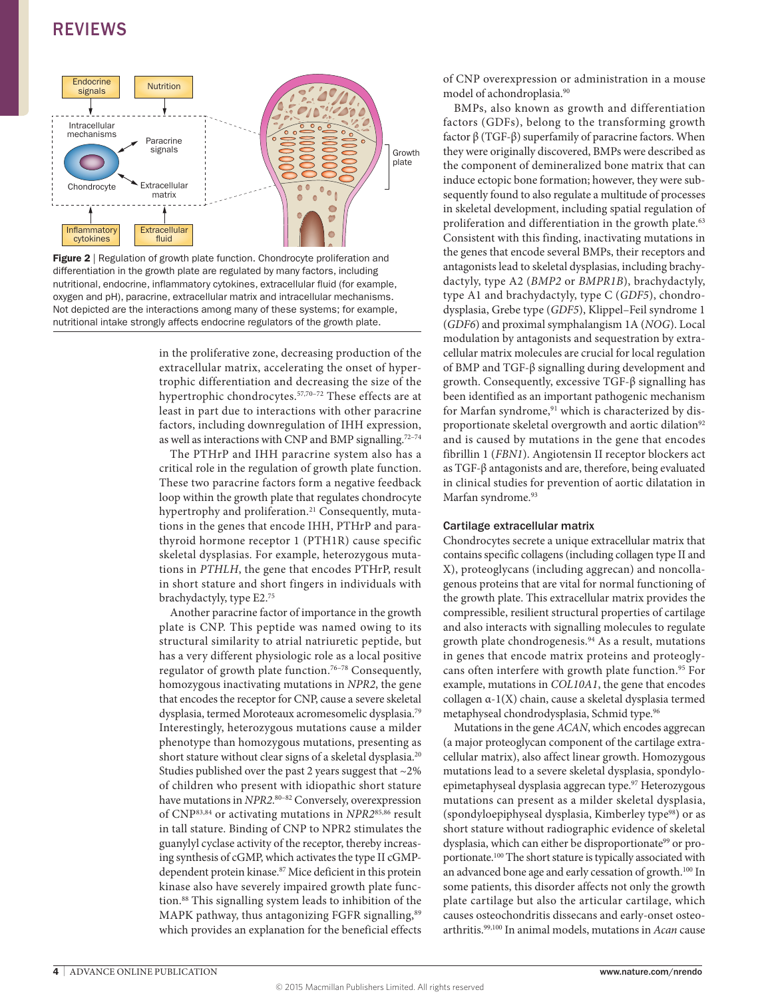

 $\frac{1}{2}$  Registerion of growth plate function. Shortchoogie promotation and differentiation in the growth plate are regulated by many factors, including **Figure 2** | Regulation of growth plate function. Chondrocyte proliferation and nutritional, endocrine, inflammatory cytokines, extracellular fluid (for example, oxygen and pH), paracrine, extracellular matrix and intracellular mechanisms. Not depicted are the interactions among many of these systems; for example, nutritional intake strongly affects endocrine regulators of the growth plate.

in the proliferative zone, decreasing production of the extracellular matrix, accelerating the onset of hypertrophic differentiation and decreasing the size of the hypertrophic chondrocytes.<sup>57,70-72</sup> These effects are at least in part due to interactions with other paracrine factors, including downregulation of IHH expression, as well as interactions with CNP and BMP signalling.<sup>72-74</sup>

The PTHrP and IHH paracrine system also has a critical role in the regulation of growth plate function. These two paracrine factors form a negative feedback loop within the growth plate that regulates chondrocyte hypertrophy and proliferation.<sup>21</sup> Consequently, mutations in the genes that encode IHH, PTHrP and parathyroid hormone receptor 1 (PTH1R) cause specific skeletal dysplasias. For example, heterozygous mutations in *PTHLH*, the gene that encodes PTHrP, result in short stature and short fingers in individuals with brachydactyly, type E2.75

Another paracrine factor of importance in the growth plate is CNP. This peptide was named owing to its structural similarity to atrial natriuretic peptide, but has a very different physiologic role as a local positive regulator of growth plate function.76–78 Consequently, homozygous inactivating mutations in *NPR2*, the gene that encodes the receptor for CNP, cause a severe skeletal dysplasia, termed Moroteaux acromesomelic dysplasia.79 Interestingly, heterozygous mutations cause a milder phenotype than homozygous mutations, presenting as short stature without clear signs of a skeletal dysplasia.<sup>20</sup> Studies published over the past 2 years suggest that  $\sim$ 2% of children who present with idiopathic short stature have mutations in *NPR2*. 80–82 Conversely, overexpression of CNP83,84 or activating mutations in *NPR2*85,86 result in tall stature. Binding of CNP to NPR2 stimulates the guanylyl cyclase activity of the receptor, thereby increasing synthesis of cGMP, which activates the type II cGMPdependent protein kinase.<sup>87</sup> Mice deficient in this protein kinase also have severely impaired growth plate function.88 This signalling system leads to inhibition of the MAPK pathway, thus antagonizing FGFR signalling,<sup>89</sup> which provides an explanation for the beneficial effects

of CNP overexpression or administration in a mouse model of achondroplasia.<sup>90</sup>

BMPs, also known as growth and differentiation factors (GDFs), belong to the transforming growth factor β (TGF-β) superfamily of paracrine factors. When they were originally discovered, BMPs were described as the component of demineralized bone matrix that can induce ectopic bone formation; however, they were subsequently found to also regulate a multitude of processes in skeletal development, including spatial regulation of proliferation and differentiation in the growth plate.<sup>63</sup> Consistent with this finding, inactivating mutations in the genes that encode several BMPs, their receptors and antagonists lead to skeletal dysplasias, including brachydactyly, type A2 (*BMP2* or *BMPR1B*), brachydactyly, type A1 and brachydactyly, type C (*GDF5*), chondrodysplasia, Grebe type (*GDF5*), Klippel–Feil syndrome 1 (*GDF6*) and proximal symphalangism 1A (*NOG*). Local modulation by antagonists and sequestration by extracellular matrix molecules are crucial for local regulation of BMP and TGF-β signalling during development and growth. Consequently, excessive TGF-β signalling has been identified as an important pathogenic mechanism for Marfan syndrome,<sup>91</sup> which is characterized by disproportionate skeletal overgrowth and aortic dilation<sup>92</sup> and is caused by mutations in the gene that encodes fibrillin 1 (*FBN1*). Angiotensin II receptor blockers act as TGF-β antagonists and are, therefore, being evaluated in clinical studies for prevention of aortic dilatation in Marfan syndrome.<sup>93</sup>

#### Cartilage extracellular matrix

Chondrocytes secrete a unique extracellular matrix that contains specific collagens (including collagen type II and X), proteoglycans (including aggrecan) and noncollagenous proteins that are vital for normal functioning of the growth plate. This extracellular matrix provides the compressible, resilient structural properties of cartilage and also interacts with signalling molecules to regulate growth plate chondrogenesis.<sup>94</sup> As a result, mutations in genes that encode matrix proteins and proteoglycans often interfere with growth plate function.<sup>95</sup> For example, mutations in *COL10A1*, the gene that encodes collagen α-1(X) chain, cause a skeletal dysplasia termed metaphyseal chondrodysplasia, Schmid type.96

Mutations in the gene *ACAN*, which encodes aggrecan (a major proteoglycan component of the cartilage extracellular matrix), also affect linear growth. Homozygous mutations lead to a severe skeletal dysplasia, spondyloepimetaphyseal dysplasia aggrecan type.<sup>97</sup> Heterozygous mutations can present as a milder skeletal dysplasia, (spondyloepiphyseal dysplasia, Kimberley type98) or as short stature without radiographic evidence of skeletal dysplasia, which can either be disproportionate<sup>99</sup> or proportionate.100 The short stature is typically associated with an advanced bone age and early cessation of growth.100 In some patients, this disorder affects not only the growth plate cartilage but also the articular cartilage, which causes osteochondritis dissecans and early-onset osteoarthritis.99,100 In animal models, mutations in *Acan* cause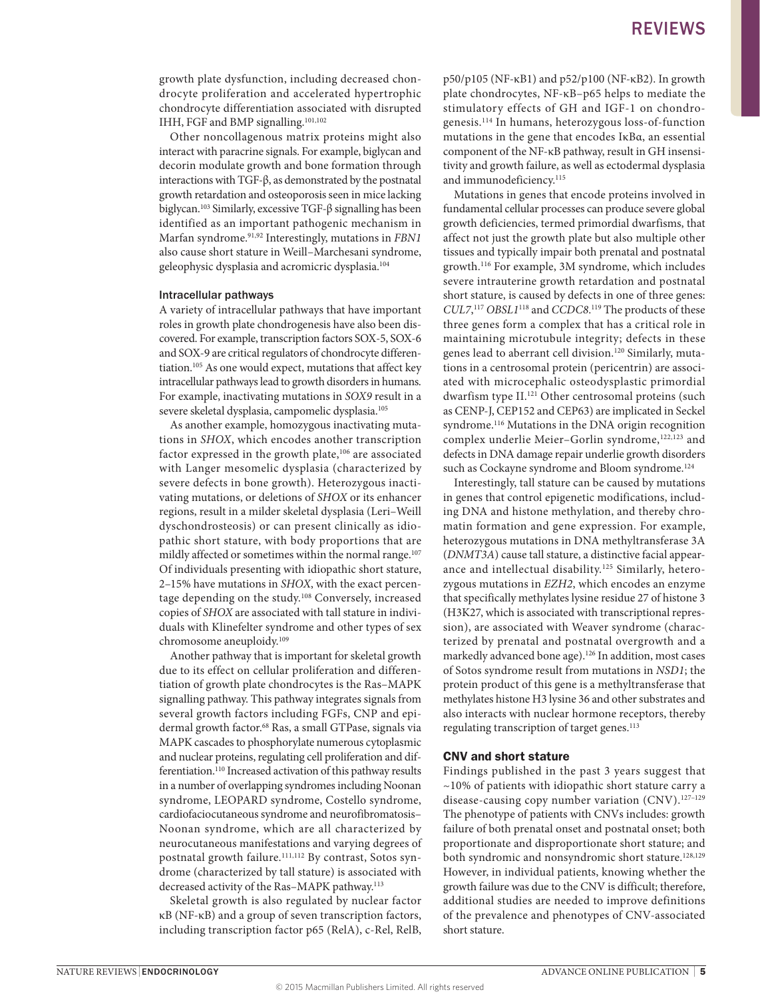growth plate dysfunction, including decreased chondrocyte proliferation and accelerated hypertrophic chondrocyte differentiation associated with disrupted IHH, FGF and BMP signalling.101,102

Other noncollagenous matrix proteins might also interact with paracrine signals. For example, biglycan and decorin modulate growth and bone formation through interactions with TGF-β, as demonstrated by the postnatal growth retardation and osteoporosis seen in mice lacking biglycan.103 Similarly, excessive TGF-β signalling has been identified as an important pathogenic mechanism in Marfan syndrome.91,92 Interestingly, mutations in *FBN1* also cause short stature in Weill–Marchesani syndrome, geleophysic dysplasia and acromicric dysplasia.104

#### Intracellular pathways

A variety of intracellular pathways that have important roles in growth plate chondrogenesis have also been discovered. For example, transcription factors SOX-5, SOX-6 and SOX-9 are critical regulators of chondrocyte differentiation.105 As one would expect, mutations that affect key intracellular pathways lead to growth disorders in humans. For example, inactivating mutations in *SOX9* result in a severe skeletal dysplasia, campomelic dysplasia.<sup>105</sup>

As another example, homozygous inactivating mutations in *SHOX*, which encodes another transcription factor expressed in the growth plate,<sup>106</sup> are associated with Langer mesomelic dysplasia (characterized by severe defects in bone growth). Heterozygous inactivating mutations, or deletions of *SHOX* or its enhancer regions, result in a milder skeletal dysplasia (Leri–Weill dyschondrosteosis) or can present clinically as idiopathic short stature, with body proportions that are mildly affected or sometimes within the normal range.<sup>107</sup> Of individuals presenting with idiopathic short stature, 2–15% have mutations in *SHOX*, with the exact percentage depending on the study.108 Conversely, increased copies of *SHOX* are associated with tall stature in individuals with Klinefelter syndrome and other types of sex chromosome aneuploidy.109

Another pathway that is important for skeletal growth due to its effect on cellular proliferation and differentiation of growth plate chondrocytes is the Ras–MAPK signalling pathway. This pathway integrates signals from several growth factors including FGFs, CNP and epidermal growth factor.<sup>68</sup> Ras, a small GTPase, signals via MAPK cascades to phosphorylate numerous cytoplasmic and nuclear proteins, regulating cell proliferation and differentiation.110 Increased activation of this pathway results in a number of overlapping syndromes including Noonan syndrome, LEOPARD syndrome, Costello syndrome, cardiofaciocutaneous syndrome and neurofibromatosis– Noonan syndrome, which are all characterized by neurocutaneous manifestations and varying degrees of postnatal growth failure.<sup>111,112</sup> By contrast, Sotos syndrome (characterized by tall stature) is associated with decreased activity of the Ras–MAPK pathway.113

Skeletal growth is also regulated by nuclear factor κB (NF-κB) and a group of seven transcription factors, including transcription factor p65 (RelA), c-Rel, RelB, p50/p105 (NF-κB1) and p52/p100 (NF-κB2). In growth plate chondrocytes, NF-κB–p65 helps to mediate the stimulatory effects of GH and IGF-1 on chondrogenesis.114 In humans, heterozygous loss-of-function mutations in the gene that encodes IκBα, an essential component of the NF-κB pathway, result in GH insensitivity and growth failure, as well as ectodermal dysplasia and immunodeficiency.<sup>115</sup>

Mutations in genes that encode proteins involved in fundamental cellular processes can produce severe global growth deficiencies, termed primordial dwarfisms, that affect not just the growth plate but also multiple other tissues and typically impair both prenatal and postnatal growth.116 For example, 3M syndrome, which includes severe intrauterine growth retardation and postnatal short stature, is caused by defects in one of three genes: *CUL7*, <sup>117</sup> *OBSL1*118 and *CCDC8*. 119 The products of these three genes form a complex that has a critical role in maintaining microtubule integrity; defects in these genes lead to aberrant cell division.<sup>120</sup> Similarly, mutations in a centrosomal protein (pericentrin) are associated with microcephalic osteodysplastic primordial dwarfism type II.<sup>121</sup> Other centrosomal proteins (such as CENP-J, CEP152 and CEP63) are implicated in Seckel syndrome.<sup>116</sup> Mutations in the DNA origin recognition complex underlie Meier-Gorlin syndrome,<sup>122,123</sup> and defects in DNA damage repair underlie growth disorders such as Cockayne syndrome and Bloom syndrome.<sup>124</sup>

Interestingly, tall stature can be caused by mutations in genes that control epigenetic modifications, including DNA and histone methylation, and thereby chromatin formation and gene expression. For example, heterozygous mutations in DNA methyltransferase 3A (*DNMT3A*) cause tall stature, a distinctive facial appearance and intellectual disability.125 Similarly, heterozygous mutations in *EZH2*, which encodes an enzyme that specifically methylates lysine residue 27 of histone 3 (H3K27, which is associated with transcriptional repression), are associated with Weaver syndrome (characterized by prenatal and postnatal overgrowth and a markedly advanced bone age).<sup>126</sup> In addition, most cases of Sotos syndrome result from mutations in *NSD1*; the protein product of this gene is a methyltransferase that methylates histone H3 lysine 36 and other substrates and also interacts with nuclear hormone receptors, thereby regulating transcription of target genes.<sup>113</sup>

#### CNV and short stature

Findings published in the past 3 years suggest that ~10% of patients with idiopathic short stature carry a disease-causing copy number variation (CNV).<sup>127-129</sup> The phenotype of patients with CNVs includes: growth failure of both prenatal onset and postnatal onset; both proportionate and disproportionate short stature; and both syndromic and nonsyndromic short stature.<sup>128,129</sup> However, in individual patients, knowing whether the growth failure was due to the CNV is difficult; therefore, additional studies are needed to improve definitions of the prevalence and phenotypes of CNV-associated short stature.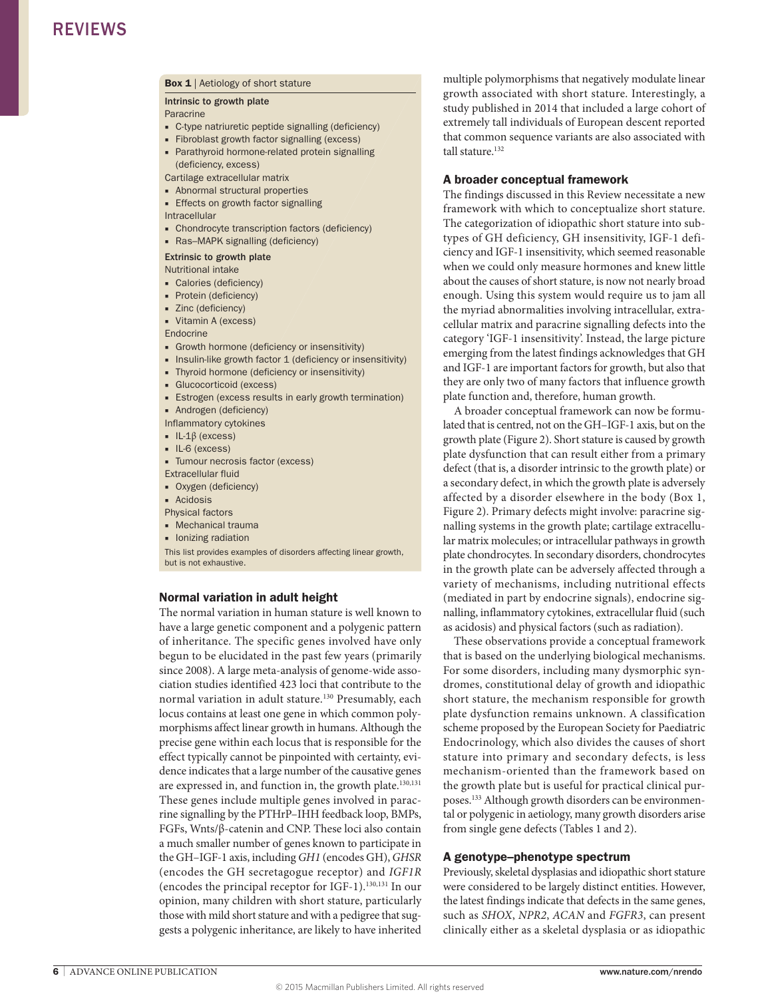#### Box 1 | Aetiology of short stature

Intrinsic to growth plate

Paracrine

- C-type natriuretic peptide signalling (deficiency)
- Fibroblast growth factor signalling (excess)
- Parathyroid hormone-related protein signalling (deficiency, excess)

Cartilage extracellular matrix

- Abnormal structural properties ■ Effects on growth factor signalling
- 

Intracellular

- Chondrocyte transcription factors (deficiency)
- Ras–MAPK signalling (deficiency)

#### Extrinsic to growth plate

Nutritional intake

- Calories (deficiency)
- Protein (deficiency)
- Zinc (deficiency)
- Vitamin A (excess)

Endocrine

- Growth hormone (deficiency or insensitivity)
- Insulin-like growth factor 1 (deficiency or insensitivity)
- Thyroid hormone (deficiency or insensitivity)
- Glucocorticoid (excess)
- Estrogen (excess results in early growth termination)

■ Androgen (deficiency)

Inflammatory cytokines

- IL‑1β (excess)
- IL‑6 (excess)
- Tumour necrosis factor (excess)
- Extracellular fluid
- Oxygen (deficiency)
- Acidosis
- Physical factors
- Mechanical trauma
- Ionizing radiation

This list provides examples of disorders affecting linear growth, but is not exhaustive.

#### Normal variation in adult height

The normal variation in human stature is well known to have a large genetic component and a polygenic pattern of inheritance. The specific genes involved have only begun to be elucidated in the past few years (primarily since 2008). A large meta-analysis of genome-wide association studies identified 423 loci that contribute to the normal variation in adult stature.<sup>130</sup> Presumably, each locus contains at least one gene in which common polymorphisms affect linear growth in humans. Although the precise gene within each locus that is responsible for the effect typically cannot be pinpointed with certainty, evidence indicates that a large number of the causative genes are expressed in, and function in, the growth plate.<sup>130,131</sup> These genes include multiple genes involved in paracrine signalling by the PTHrP–IHH feedback loop, BMPs, FGFs, Wnts/β-catenin and CNP. These loci also contain a much smaller number of genes known to participate in the GH–IGF-1 axis, including *GH1* (encodes GH), *GHSR* (encodes the GH secretagogue receptor) and *IGF1R* (encodes the principal receptor for IGF-1).130,131 In our opinion, many children with short stature, particularly those with mild short stature and with a pedigree that suggests a polygenic inheritance, are likely to have inherited

multiple polymorphisms that negatively modulate linear growth associated with short stature. Interestingly, a study published in 2014 that included a large cohort of extremely tall individuals of European descent reported that common sequence variants are also associated with tall stature.132

#### A broader conceptual framework

The findings discussed in this Review necessitate a new framework with which to conceptualize short stature. The categorization of idiopathic short stature into subtypes of GH deficiency, GH insensitivity, IGF-1 deficiency and IGF-1 insensitivity, which seemed reasonable when we could only measure hormones and knew little about the causes of short stature, is now not nearly broad enough. Using this system would require us to jam all the myriad abnormalities involving intracellular, extracellular matrix and paracrine signalling defects into the category 'IGF-1 insensitivity'. Instead, the large picture emerging from the latest findings acknowledges that GH and IGF-1 are important factors for growth, but also that they are only two of many factors that influence growth plate function and, therefore, human growth.

A broader conceptual framework can now be formulated that is centred, not on the GH–IGF-1 axis, but on the growth plate (Figure 2). Short stature is caused by growth plate dysfunction that can result either from a primary defect (that is, a disorder intrinsic to the growth plate) or a secondary defect, in which the growth plate is adversely affected by a disorder elsewhere in the body (Box 1, Figure 2). Primary defects might involve: paracrine signalling systems in the growth plate; cartilage extracellular matrix molecules; or intracellular pathways in growth plate chondrocytes. In secondary disorders, chondrocytes in the growth plate can be adversely affected through a variety of mechanisms, including nutritional effects (mediated in part by endocrine signals), endocrine signalling, inflammatory cytokines, extracellular fluid (such as acidosis) and physical factors (such as radiation).

These observations provide a conceptual framework that is based on the underlying biological mechanisms. For some disorders, including many dysmorphic syndromes, constitutional delay of growth and idiopathic short stature, the mechanism responsible for growth plate dysfunction remains unknown. A classification scheme proposed by the European Society for Paediatric Endocrinology, which also divides the causes of short stature into primary and secondary defects, is less mechanism-oriented than the framework based on the growth plate but is useful for practical clinical purposes.133 Although growth disorders can be environmental or polygenic in aetiology, many growth disorders arise from single gene defects (Tables 1 and 2).

#### A genotype–phenotype spectrum

Previously, skeletal dysplasias and idiopathic short stature were considered to be largely distinct entities. However, the latest findings indicate that defects in the same genes, such as *SHOX*, *NPR2*, *ACAN* and *FGFR3*, can present clinically either as a skeletal dysplasia or as idiopathic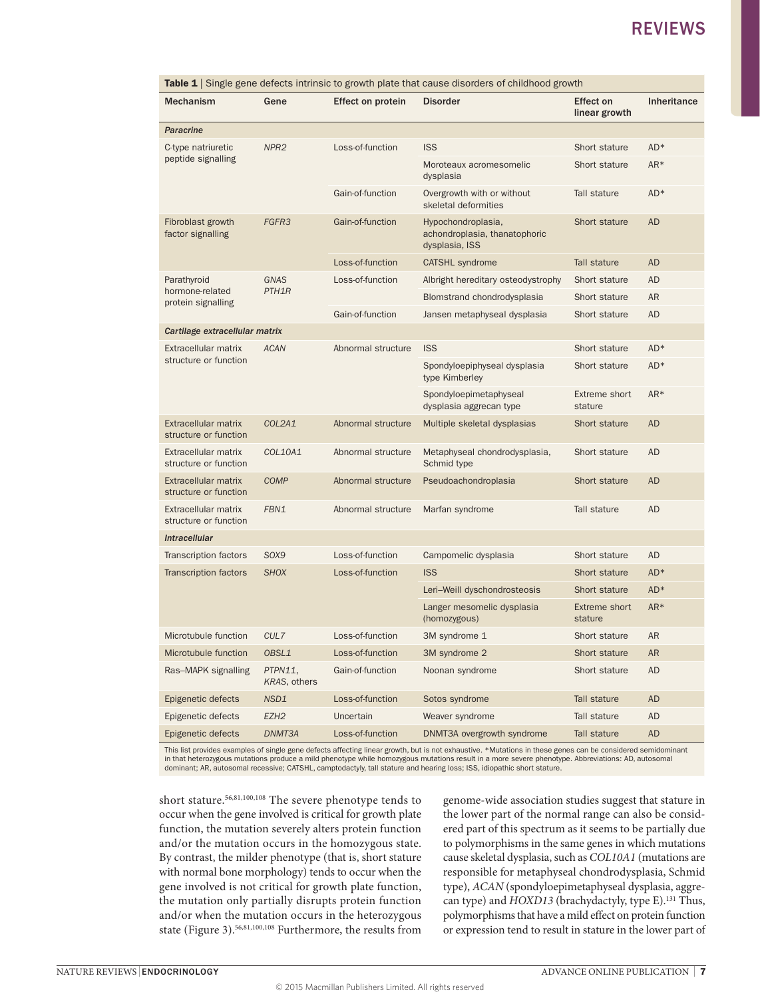| <b>Table 1</b> Single gene defects intrinsic to growth plate that cause disorders of childhood growth |                                   |                    |                                                                       |                                   |             |  |  |  |
|-------------------------------------------------------------------------------------------------------|-----------------------------------|--------------------|-----------------------------------------------------------------------|-----------------------------------|-------------|--|--|--|
| <b>Mechanism</b>                                                                                      | Gene                              | Effect on protein  | <b>Disorder</b>                                                       | <b>Effect on</b><br>linear growth | Inheritance |  |  |  |
| <b>Paracrine</b>                                                                                      |                                   |                    |                                                                       |                                   |             |  |  |  |
| C-type natriuretic<br>peptide signalling                                                              | NPR <sub>2</sub>                  | Loss-of-function   | <b>ISS</b>                                                            | Short stature                     | AD*         |  |  |  |
|                                                                                                       |                                   |                    | Moroteaux acromesomelic<br>dysplasia                                  | Short stature                     | AR*         |  |  |  |
|                                                                                                       |                                   | Gain-of-function   | Overgrowth with or without<br>skeletal deformities                    | Tall stature                      | AD*         |  |  |  |
| Fibroblast growth<br>factor signalling                                                                | FGFR3                             | Gain-of-function   | Hypochondroplasia,<br>achondroplasia, thanatophoric<br>dysplasia, ISS | Short stature                     | <b>AD</b>   |  |  |  |
|                                                                                                       |                                   | Loss-of-function   | <b>CATSHL</b> syndrome                                                | Tall stature                      | <b>AD</b>   |  |  |  |
| Parathyroid<br>hormone-related<br>protein signalling                                                  | <b>GNAS</b><br>PTH <sub>1</sub> R | Loss-of-function   | Albright hereditary osteodystrophy                                    | Short stature                     | <b>AD</b>   |  |  |  |
|                                                                                                       |                                   |                    | Blomstrand chondrodysplasia                                           | Short stature                     | <b>AR</b>   |  |  |  |
|                                                                                                       |                                   | Gain-of-function   | Jansen metaphyseal dysplasia                                          | Short stature                     | <b>AD</b>   |  |  |  |
| Cartilage extracellular matrix                                                                        |                                   |                    |                                                                       |                                   |             |  |  |  |
| Extracellular matrix<br>structure or function                                                         | <b>ACAN</b>                       | Abnormal structure | <b>ISS</b>                                                            | Short stature                     | AD*         |  |  |  |
|                                                                                                       |                                   |                    | Spondyloepiphyseal dysplasia<br>type Kimberley                        | Short stature                     | AD*         |  |  |  |
|                                                                                                       |                                   |                    | Spondyloepimetaphyseal<br>dysplasia aggrecan type                     | Extreme short<br>stature          | $AR*$       |  |  |  |
| Extracellular matrix<br>structure or function                                                         | COL2A1                            | Abnormal structure | Multiple skeletal dysplasias                                          | Short stature                     | <b>AD</b>   |  |  |  |
| Extracellular matrix<br>structure or function                                                         | COL10A1                           | Abnormal structure | Metaphyseal chondrodysplasia,<br>Schmid type                          | Short stature                     | <b>AD</b>   |  |  |  |
| <b>Extracellular matrix</b><br>structure or function                                                  | COMP                              | Abnormal structure | Pseudoachondroplasia                                                  | Short stature                     | <b>AD</b>   |  |  |  |
| Extracellular matrix<br>structure or function                                                         | FBN1                              | Abnormal structure | Marfan syndrome                                                       | Tall stature                      | <b>AD</b>   |  |  |  |
| <b>Intracellular</b>                                                                                  |                                   |                    |                                                                       |                                   |             |  |  |  |
| Transcription factors                                                                                 | SOX9                              | Loss-of-function   | Campomelic dysplasia                                                  | Short stature                     | AD          |  |  |  |
| <b>Transcription factors</b>                                                                          | <b>SHOX</b>                       | Loss-of-function   | <b>ISS</b>                                                            | Short stature                     | AD*         |  |  |  |
|                                                                                                       |                                   |                    | Leri-Weill dyschondrosteosis                                          | Short stature                     | AD*         |  |  |  |
|                                                                                                       |                                   |                    | Langer mesomelic dysplasia<br>(homozygous)                            | <b>Extreme short</b><br>stature   | AR*         |  |  |  |
| Microtubule function                                                                                  | CUL7                              | Loss-of-function   | 3M syndrome 1                                                         | Short stature                     | AR          |  |  |  |
| Microtubule function                                                                                  | OBSL1                             | Loss-of-function   | 3M syndrome 2                                                         | Short stature                     | <b>AR</b>   |  |  |  |
| Ras-MAPK signalling                                                                                   | PTPN11,<br>KRAS, others           | Gain-of-function   | Noonan syndrome                                                       | Short stature                     | <b>AD</b>   |  |  |  |
| Epigenetic defects                                                                                    | NSD1                              | Loss-of-function   | Sotos syndrome                                                        | Tall stature                      | <b>AD</b>   |  |  |  |
| Epigenetic defects                                                                                    | EZH <sub>2</sub>                  | Uncertain          | Weaver syndrome                                                       | Tall stature                      | <b>AD</b>   |  |  |  |
| Epigenetic defects                                                                                    | DNMT3A                            | Loss-of-function   | DNMT3A overgrowth syndrome                                            | Tall stature                      | <b>AD</b>   |  |  |  |

This list provides examples of single gene defects affecting linear growth, but is not exhaustive. \*Mutations in these genes can be considered semidominant<br>in that heterozygous mutations produce a mild phenotype while homo dominant; AR, autosomal recessive; CATSHL, camptodactyly, tall stature and hearing loss; ISS, idiopathic short stature.

short stature.56,81,100,108 The severe phenotype tends to occur when the gene involved is critical for growth plate function, the mutation severely alters protein function and/or the mutation occurs in the homozygous state. By contrast, the milder phenotype (that is, short stature with normal bone morphology) tends to occur when the gene involved is not critical for growth plate function, the mutation only partially disrupts protein function and/or when the mutation occurs in the heterozygous state (Figure 3).56,81,100,108 Furthermore, the results from

genome-wide association studies suggest that stature in the lower part of the normal range can also be considered part of this spectrum as it seems to be partially due to polymorphisms in the same genes in which mutations cause skeletal dysplasia, such as *COL10A1* (mutations are responsible for metaphyseal chondrodysplasia, Schmid type), *ACAN* (spondyloepimetaphyseal dysplasia, aggrecan type) and *HOXD13* (brachydactyly, type E).<sup>131</sup> Thus, polymorphisms that have a mild effect on protein function or expression tend to result in stature in the lower part of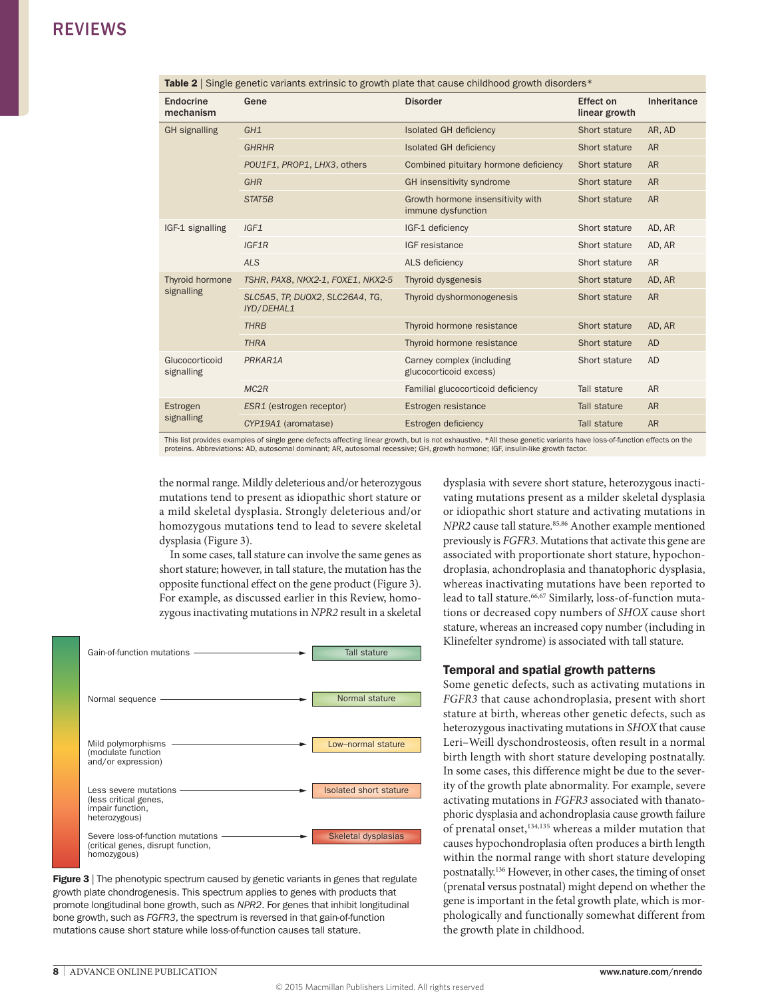| Table 2 Single genetic variants extrinsic to growth plate that cause childhood growth disorders* |                                                      |                                                         |                            |             |  |  |  |
|--------------------------------------------------------------------------------------------------|------------------------------------------------------|---------------------------------------------------------|----------------------------|-------------|--|--|--|
| Endocrine<br>mechanism                                                                           | Gene                                                 | <b>Disorder</b>                                         | Effect on<br>linear growth | Inheritance |  |  |  |
| <b>GH</b> signalling                                                                             | GH1                                                  | <b>Isolated GH deficiency</b>                           | Short stature              | AR, AD      |  |  |  |
|                                                                                                  | <b>GHRHR</b>                                         | <b>Isolated GH deficiency</b>                           | Short stature              | <b>AR</b>   |  |  |  |
|                                                                                                  | POU1F1, PROP1, LHX3, others                          | Combined pituitary hormone deficiency                   | Short stature              | <b>AR</b>   |  |  |  |
|                                                                                                  | <b>GHR</b>                                           | GH insensitivity syndrome                               | Short stature              | <b>AR</b>   |  |  |  |
|                                                                                                  | STAT5B                                               | Growth hormone insensitivity with<br>immune dysfunction | Short stature              | <b>AR</b>   |  |  |  |
| IGF-1 signalling                                                                                 | IGF1                                                 | IGF-1 deficiency                                        | Short stature              | AD, AR      |  |  |  |
|                                                                                                  | IGF1R                                                | IGF resistance                                          | Short stature              | AD, AR      |  |  |  |
|                                                                                                  | <b>ALS</b>                                           | ALS deficiency                                          | Short stature              | <b>AR</b>   |  |  |  |
| Thyroid hormone<br>signalling                                                                    | TSHR, PAX8, NKX2-1, FOXE1, NKX2-5                    | Thyroid dysgenesis                                      | Short stature              | AD, AR      |  |  |  |
|                                                                                                  | SLC5A5, TP, DUOX2, SLC26A4, TG,<br><b>IYD/DEHAL1</b> | Thyroid dyshormonogenesis                               | Short stature              | <b>AR</b>   |  |  |  |
|                                                                                                  | <b>THRB</b>                                          | Thyroid hormone resistance                              | Short stature              | AD, AR      |  |  |  |
|                                                                                                  | <b>THRA</b>                                          | Thyroid hormone resistance                              | Short stature              | <b>AD</b>   |  |  |  |
| Glucocorticoid<br>signalling                                                                     | PRKAR1A                                              | Carney complex (including<br>glucocorticoid excess)     | Short stature              | <b>AD</b>   |  |  |  |
|                                                                                                  | MC <sub>2R</sub>                                     | Familial glucocorticoid deficiency                      | Tall stature               | <b>AR</b>   |  |  |  |
| Estrogen<br>signalling                                                                           | ESR1 (estrogen receptor)                             | Estrogen resistance                                     | Tall stature               | <b>AR</b>   |  |  |  |
|                                                                                                  | CYP19A1 (aromatase)                                  | Estrogen deficiency                                     | Tall stature               | <b>AR</b>   |  |  |  |

This list provides examples of single gene defects affecting linear growth, but is not exhaustive. \*All these genetic variants have loss-of-function effects on the proteins. Abbreviations: AD, autosomal dominant; AR, autosomal recessive; GH, growth hormone; IGF, insulin-like growth factor.

the normal range. Mildly deleterious and/or heterozygous mutations tend to present as idiopathic short stature or a mild skeletal dysplasia. Strongly deleterious and/or homozygous mutations tend to lead to severe skeletal dysplasia (Figure 3).

In some cases, tall stature can involve the same genes as short stature; however, in tall stature, the mutation has the opposite functional effect on the gene product (Figure 3). For example, as discussed earlier in this Review, homozygous inactivating mutations in *NPR2* result in a skeletal



growth plate chondrogenesis. This spectrum applies to genes with products that Figure 3 | The phenotypic spectrum caused by genetic variants in genes that regulate promote longitudinal bone growth, such as *NPR2*. For genes that inhibit longitudinal bone growth, such as *FGFR3*, the spectrum is reversed in that gain-of-function mutations cause short stature while loss-of-function causes tall stature.

dysplasia with severe short stature, heterozygous inactivating mutations present as a milder skeletal dysplasia or idiopathic short stature and activating mutations in *NPR2* cause tall stature.<sup>85,86</sup> Another example mentioned previously is *FGFR3*. Mutations that activate this gene are associated with proportionate short stature, hypochondroplasia, achondroplasia and thanatophoric dysplasia, whereas inactivating mutations have been reported to lead to tall stature.<sup>66,67</sup> Similarly, loss-of-function mutations or decreased copy numbers of *SHOX* cause short stature, whereas an increased copy number (including in Klinefelter syndrome) is associated with tall stature.

#### Temporal and spatial growth patterns

Some genetic defects, such as activating mutations in *FGFR3* that cause achondroplasia, present with short stature at birth, whereas other genetic defects, such as heterozygous inactivating mutations in *SHOX* that cause Leri–Weill dyschondrosteosis, often result in a normal birth length with short stature developing postnatally. In some cases, this difference might be due to the severity of the growth plate abnormality. For example, severe activating mutations in *FGFR3* associated with thanatophoric dysplasia and achondroplasia cause growth failure of prenatal onset,134,135 whereas a milder mutation that causes hypochondroplasia often produces a birth length within the normal range with short stature developing postnatally.136 However, in other cases, the timing of onset (prenatal versus postnatal) might depend on whether the gene is important in the fetal growth plate, which is morphologically and functionally somewhat different from the growth plate in childhood.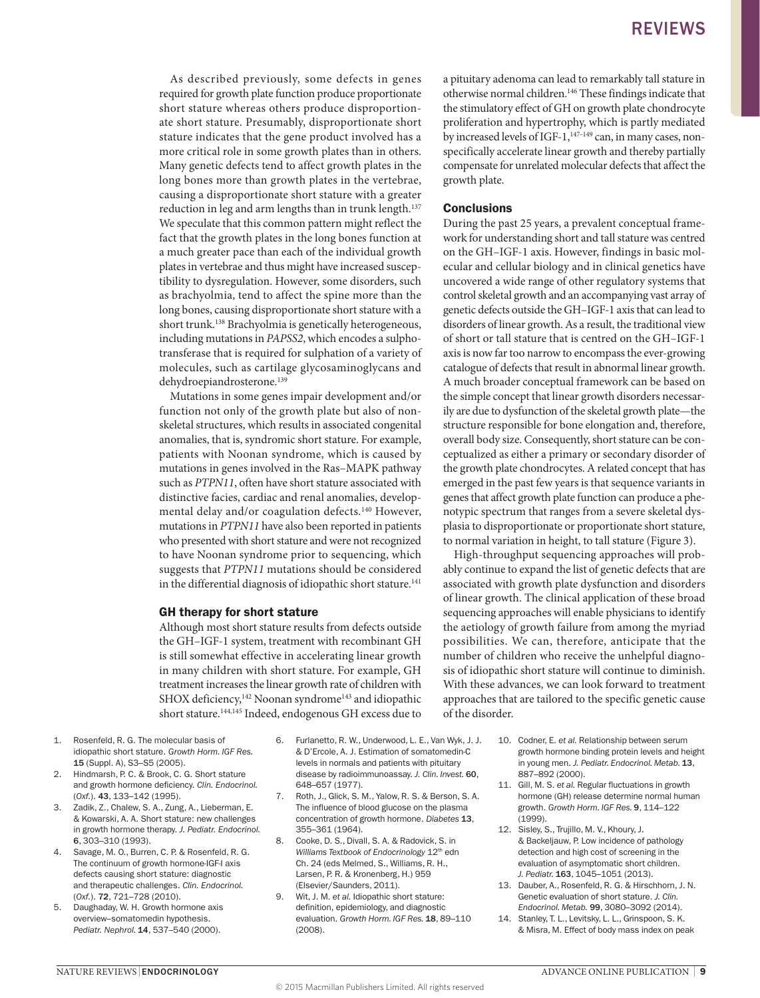As described previously, some defects in genes required for growth plate function produce proportionate short stature whereas others produce disproportionate short stature. Presumably, disproportionate short stature indicates that the gene product involved has a more critical role in some growth plates than in others. Many genetic defects tend to affect growth plates in the long bones more than growth plates in the vertebrae, causing a disproportionate short stature with a greater reduction in leg and arm lengths than in trunk length.<sup>137</sup> We speculate that this common pattern might reflect the fact that the growth plates in the long bones function at a much greater pace than each of the individual growth plates in vertebrae and thus might have increased susceptibility to dysregulation. However, some disorders, such as brachyolmia, tend to affect the spine more than the long bones, causing disproportionate short stature with a short trunk.<sup>138</sup> Brachyolmia is genetically heterogeneous, including mutations in *PAPSS2*, which encodes a sulphotransferase that is required for sulphation of a variety of molecules, such as cartilage glycosaminoglycans and dehydroepiandrosterone.<sup>139</sup>

Mutations in some genes impair development and/or function not only of the growth plate but also of nonskeletal structures, which results in associated congenital anomalies, that is, syndromic short stature. For example, patients with Noonan syndrome, which is caused by mutations in genes involved in the Ras–MAPK pathway such as *PTPN11*, often have short stature associated with distinctive facies, cardiac and renal anomalies, developmental delay and/or coagulation defects.140 However, mutations in *PTPN11* have also been reported in patients who presented with short stature and were not recognized to have Noonan syndrome prior to sequencing, which suggests that *PTPN11* mutations should be considered in the differential diagnosis of idiopathic short stature.<sup>141</sup>

#### GH therapy for short stature

Although most short stature results from defects outside the GH–IGF-1 system, treatment with recombinant GH is still somewhat effective in accelerating linear growth in many children with short stature. For example, GH treatment increases the linear growth rate of children with SHOX deficiency,<sup>142</sup> Noonan syndrome<sup>143</sup> and idiopathic short stature.144,145 Indeed, endogenous GH excess due to

- 1. Rosenfeld, R. G. The molecular basis of idiopathic short stature. *Growth Horm. IGF Res.*  15 (Suppl. A), S3–S5 (2005).
- 2. Hindmarsh, P. C. & Brook, C. G. Short stature and growth hormone deficiency. *Clin. Endocrinol.* (*Oxf.*). 43, 133–142 (1995).
- 3. Zadik, Z., Chalew, S. A., Zung, A., Lieberman, E. & Kowarski, A. A. Short stature: new challenges in growth hormone therapy. *J. Pediatr. Endocrinol.* 6, 303–310 (1993).
- 4. Savage, M. O., Burren, C. P. & Rosenfeld, R. G. The continuum of growth hormone-IGF-I axis defects causing short stature: diagnostic and therapeutic challenges. *Clin. Endocrinol.* (*Oxf.*). 72, 721–728 (2010).
- 5. Daughaday, W. H. Growth hormone axis overview–somatomedin hypothesis. *Pediatr. Nephrol.* 14, 537–540 (2000).
- 6. Furlanetto, R. W., Underwood, L. E., Van Wyk, J. J. & D'Ercole, A. J. Estimation of somatomedin‑C levels in normals and patients with pituitary disease by radioimmunoassay. *J. Clin. Invest.* 60, 648–657 (1977).
- 7. Roth, J., Glick, S. M., Yalow, R. S. & Berson, S. A. The influence of blood glucose on the plasma concentration of growth hormone. *Diabetes* 13, 355–361 (1964).
- 8. Cooke, D. S., Divall, S. A. & Radovick, S. in *Williams Textbook of Endocrinology* 12th edn Ch. 24 (eds Melmed, S., Williams, R. H., Larsen, P. R. & Kronenberg, H.) 959 (Elsevier/Saunders, 2011).
- 9. Wit, J. M. *et al.* Idiopathic short stature: definition, epidemiology, and diagnostic evaluation. *Growth Horm. IGF Res.* 18, 89–110 (2008).

a pituitary adenoma can lead to remarkably tall stature in otherwise normal children.146 These findings indicate that the stimulatory effect of GH on growth plate chondrocyte proliferation and hypertrophy, which is partly mediated by increased levels of IGF-1,<sup>147-149</sup> can, in many cases, nonspecifically accelerate linear growth and thereby partially compensate for unrelated molecular defects that affect the growth plate.

#### **Conclusions**

During the past 25 years, a prevalent conceptual framework for understanding short and tall stature was centred on the GH–IGF-1 axis. However, findings in basic molecular and cellular biology and in clinical genetics have uncovered a wide range of other regulatory systems that control skeletal growth and an accompanying vast array of genetic defects outside the GH–IGF-1 axis that can lead to disorders of linear growth. As a result, the traditional view of short or tall stature that is centred on the GH–IGF-1 axis is now far too narrow to encompass the ever-growing catalogue of defects that result in abnormal linear growth. A much broader conceptual framework can be based on the simple concept that linear growth disorders necessarily are due to dysfunction of the skeletal growth plate—the structure responsible for bone elongation and, therefore, overall body size. Consequently, short stature can be conceptualized as either a primary or secondary disorder of the growth plate chondrocytes. A related concept that has emerged in the past few years is that sequence variants in genes that affect growth plate function can produce a phenotypic spectrum that ranges from a severe skeletal dysplasia to disproportionate or proportionate short stature, to normal variation in height, to tall stature (Figure 3).

High-throughput sequencing approaches will probably continue to expand the list of genetic defects that are associated with growth plate dysfunction and disorders of linear growth. The clinical application of these broad sequencing approaches will enable physicians to identify the aetiology of growth failure from among the myriad possibilities. We can, therefore, anticipate that the number of children who receive the unhelpful diagnosis of idiopathic short stature will continue to diminish. With these advances, we can look forward to treatment approaches that are tailored to the specific genetic cause of the disorder.

- 10. Codner, E. *et al.* Relationship between serum growth hormone binding protein levels and height in young men. *J. Pediatr. Endocrinol. Metab.* 13, 887–892 (2000).
- 11. Gill, M. S. *et al.* Regular fluctuations in growth hormone (GH) release determine normal human growth. *Growth Horm. IGF Res.* 9, 114–122 (1999).
- 12. Sisley, S., Trujillo, M. V., Khoury, J. & Backeljauw, P. Low incidence of pathology detection and high cost of screening in the evaluation of asymptomatic short children. *J. Pediatr.* 163, 1045–1051 (2013).
- 13. Dauber, A., Rosenfeld, R. G. & Hirschhorn, J. N. Genetic evaluation of short stature. *J. Clin. Endocrinol. Metab.* 99, 3080–3092 (2014).
- 14. Stanley, T. L., Levitsky, L. L., Grinspoon, S. K. & Misra, M. Effect of body mass index on peak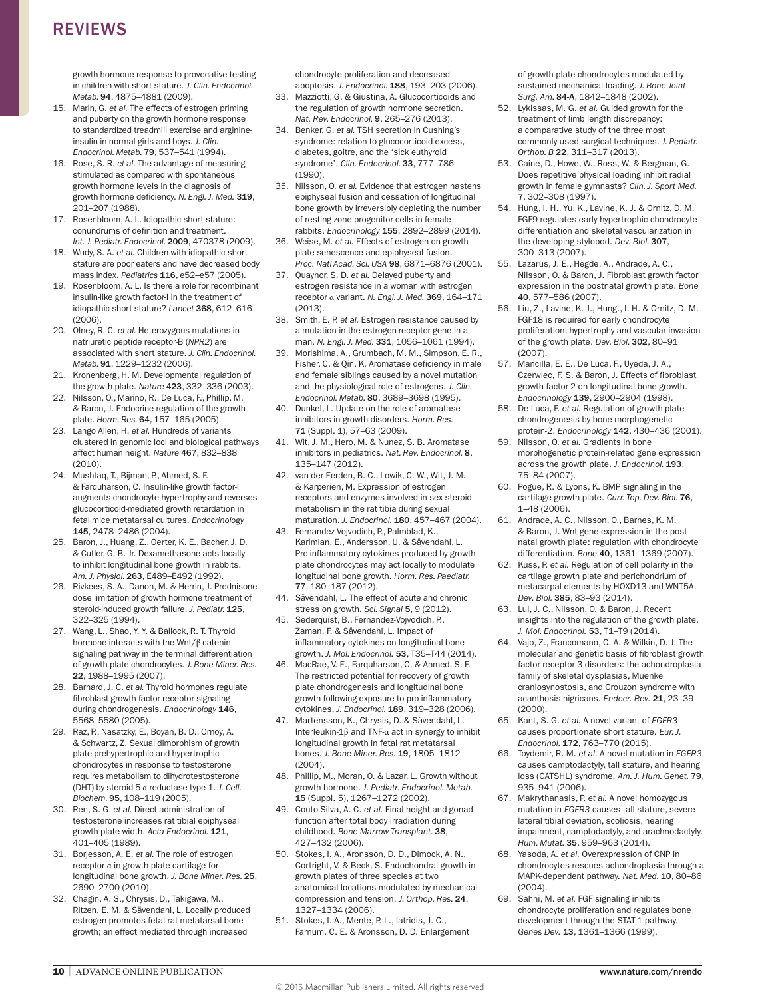growth hormone response to provocative testing in children with short stature. *J. Clin. Endocrinol. Metab.* 94, 4875–4881 (2009).

- 15. Marin, G. *et al.* The effects of estrogen priming and puberty on the growth hormone response to standardized treadmill exercise and arginineinsulin in normal girls and boys. *J. Clin. Endocrinol. Metab.* 79, 537–541 (1994).
- 16. Rose, S. R. *et al.* The advantage of measuring stimulated as compared with spontaneous growth hormone levels in the diagnosis of growth hormone deficiency. *N. Engl. J. Med.* 319, 201–207 (1988).
- 17. Rosenbloom, A. L. Idiopathic short stature: conundrums of definition and treatment. *Int. J. Pediatr. Endocrinol.* 2009, 470378 (2009).
- 18. Wudy, S. A. *et al.* Children with idiopathic short stature are poor eaters and have decreased body mass index. *Pediatrics* 116, e52–e57 (2005).
- 19. Rosenbloom, A. L. Is there a role for recombinant insulin-like growth factor-I in the treatment of idiopathic short stature? *Lancet* 368, 612–616 (2006).
- 20. Olney, R. C. *et al.* Heterozygous mutations in natriuretic peptide receptor‑B (*NPR2*) are associated with short stature. *J. Clin. Endocrinol. Metab.* 91, 1229–1232 (2006).
- 21. Kronenberg, H. M. Developmental regulation of the growth plate. *Nature* 423, 332–336 (2003).
- 22. Nilsson, O., Marino, R., De Luca, F., Phillip, M. & Baron, J. Endocrine regulation of the growth plate. *Horm. Res.* 64, 157–165 (2005).
- 23. Lango Allen, H. *et al.* Hundreds of variants clustered in genomic loci and biological pathways affect human height. *Nature* 467, 832–838 (2010).
- 24. Mushtaq, T., Bijman, P., Ahmed, S. F. & Farquharson, C. Insulin-like growth factor‑I augments chondrocyte hypertrophy and reverses glucocorticoid-mediated growth retardation in fetal mice metatarsal cultures. *Endocrinology*  145, 2478–2486 (2004).
- 25. Baron, J., Huang, Z., Oerter, K. E., Bacher, J. D. & Cutler, G. B. Jr. Dexamethasone acts locally to inhibit longitudinal bone growth in rabbits. *Am. J. Physiol.* 263, E489–E492 (1992).
- 26. Rivkees, S. A., Danon, M. & Herrin, J. Prednisone dose limitation of growth hormone treatment of steroid-induced growth failure. *J. Pediatr.* 125, 322–325 (1994).
- 27. Wang, L., Shao, Y. Y. & Ballock, R. T. Thyroid hormone interacts with the Wnt/β-catenin signaling pathway in the terminal differentiation of growth plate chondrocytes. *J. Bone Miner. Res.*  22, 1988–1995 (2007).
- 28. Barnard, J. C. *et al.* Thyroid hormones regulate fibroblast growth factor receptor signaling during chondrogenesis. *Endocrinology* 146, 5568–5580 (2005).
- 29. Raz, P., Nasatzky, E., Boyan, B. D., Ornoy, A. & Schwartz, Z. Sexual dimorphism of growth plate prehypertrophic and hypertrophic chondrocytes in response to testosterone requires metabolism to dihydrotestosterone (DHT) by steroid 5‑α reductase type 1. *J. Cell. Biochem.* 95, 108–119 (2005).
- 30. Ren, S. G. *et al.* Direct administration of testosterone increases rat tibial epiphyseal growth plate width. *Acta Endocrinol.* 121, 401–405 (1989).
- 31. Borjesson, A. E. *et al.* The role of estrogen receptor α in growth plate cartilage for longitudinal bone growth. *J. Bone Miner. Res.* 25, 2690–2700 (2010).
- 32. Chagin, A. S., Chrysis, D., Takigawa, M., Ritzen, E. M. & Sävendahl, L. Locally produced estrogen promotes fetal rat metatarsal bone growth; an effect mediated through increased

chondrocyte proliferation and decreased apoptosis. *J. Endocrinol.* 188, 193–203 (2006).

- 33. Mazziotti, G. & Giustina, A. Glucocorticoids and the regulation of growth hormone secretion. *Nat. Rev. Endocrinol.* 9, 265–276 (2013).
- 34. Benker, G. *et al.* TSH secretion in Cushing's syndrome: relation to glucocorticoid excess, diabetes, goitre, and the 'sick euthyroid syndrome'. *Clin. Endocrinol.* 33, 777–786 (1990).
- 35. Nilsson, O. *et al.* Evidence that estrogen hastens epiphyseal fusion and cessation of longitudinal bone growth by irreversibly depleting the number of resting zone progenitor cells in female rabbits. *Endocrinology* 155, 2892–2899 (2014).
- 36. Weise, M. *et al.* Effects of estrogen on growth plate senescence and epiphyseal fusion. *Proc. Natl Acad. Sci. USA* 98, 6871–6876 (2001).
- 37. Quaynor, S. D. *et al.* Delayed puberty and estrogen resistance in a woman with estrogen receptor α variant. *N. Engl. J. Med.* 369, 164–171 (2013).
- 38. Smith, E. P. *et al.* Estrogen resistance caused by a mutation in the estrogen-receptor gene in a man. *N. Engl. J. Med.* 331, 1056–1061 (1994).
- 39. Morishima, A., Grumbach, M. M., Simpson, E. R., Fisher, C. & Qin, K. Aromatase deficiency in male and female siblings caused by a novel mutation and the physiological role of estrogens. *J. Clin. Endocrinol. Metab.* 80, 3689–3698 (1995).
- 40. Dunkel, L. Update on the role of aromatase inhibitors in growth disorders. *Horm. Res.*  71 (Suppl. 1), 57–63 (2009).
- 41. Wit, J. M., Hero, M. & Nunez, S. B. Aromatase inhibitors in pediatrics. *Nat. Rev. Endocrinol.* 8, 135–147 (2012).
- 42. van der Eerden, B. C., Lowik, C. W., Wit, J. M. & Karperien, M. Expression of estrogen receptors and enzymes involved in sex steroid metabolism in the rat tibia during sexual maturation. *J. Endocrinol.* 180, 457–467 (2004).
- 43. Fernandez-Vojvodich, P., Palmblad, K., Karimian, E., Andersson, U. & Sävendahl, L. Pro-inflammatory cytokines produced by growth plate chondrocytes may act locally to modulate longitudinal bone growth. *Horm. Res. Paediatr.*  77, 180–187 (2012).
- 44. Sävendahl, L. The effect of acute and chronic stress on growth. *Sci. Signal* 5, 9 (2012).
- 45. Sederquist, B., Fernandez-Vojvodich, P., Zaman, F. & Sävendahl, L. Impact of inflammatory cytokines on longitudinal bone growth. *J. Mol. Endocrinol.* 53, T35–T44 (2014).
- 46. MacRae, V. E., Farquharson, C. & Ahmed, S. F. The restricted potential for recovery of growth plate chondrogenesis and longitudinal bone growth following exposure to pro-inflammatory cytokines. *J. Endocrinol.* 189, 319–328 (2006).
- 47. Martensson, K., Chrysis, D. & Sävendahl, L. Interleukin-1β and TNF-α act in synergy to inhibit longitudinal growth in fetal rat metatarsal bones. *J. Bone Miner. Res.* 19, 1805–1812 (2004).
- 48. Phillip, M., Moran, O. & Lazar, L. Growth without growth hormone. *J. Pediatr. Endocrinol. Metab.*  15 (Suppl. 5), 1267–1272 (2002).
- 49. Couto-Silva, A. C. *et al.* Final height and gonad function after total body irradiation during childhood. *Bone Marrow Transplant.* 38, 427–432 (2006).
- 50. Stokes, I. A., Aronsson, D. D., Dimock, A. N., Cortright, V. & Beck, S. Endochondral growth in growth plates of three species at two anatomical locations modulated by mechanical compression and tension. *J. Orthop. Res.* 24, 1327–1334 (2006).
- 51. Stokes, I. A., Mente, P. L., Iatridis, J. C., Farnum, C. E. & Aronsson, D. D. Enlargement

of growth plate chondrocytes modulated by sustained mechanical loading. *J. Bone Joint Surg. Am.* 84‑A, 1842–1848 (2002).

- 52. Lykissas, M. G. *et al.* Guided growth for the treatment of limb length discrepancy: a comparative study of the three most commonly used surgical techniques. *J. Pediatr. Orthop. B* 22, 311–317 (2013).
- 53. Caine, D., Howe, W., Ross, W. & Bergman, G. Does repetitive physical loading inhibit radial growth in female gymnasts? *Clin. J. Sport Med.*  7, 302–308 (1997).
- 54. Hung, I. H., Yu, K., Lavine, K. J. & Ornitz, D. M. FGF9 regulates early hypertrophic chondrocyte differentiation and skeletal vascularization in the developing stylopod. *Dev. Biol.* 307, 300–313 (2007).
- 55. Lazarus, J. E., Hegde, A., Andrade, A. C., Nilsson, O. & Baron, J. Fibroblast growth factor expression in the postnatal growth plate. *Bone*  40, 577–586 (2007).
- 56. Liu, Z., Lavine, K. J., Hung., I. H. & Ornitz, D. M. FGF18 is required for early chondrocyte proliferation, hypertrophy and vascular invasion of the growth plate. *Dev. Biol.* 302, 80–91 (2007).
- 57. Mancilla, E. E., De Luca, F., Uyeda, J. A., Czerwiec, F. S. & Baron, J. Effects of fibroblast growth factor‑2 on longitudinal bone growth. *Endocrinology* 139, 2900–2904 (1998).
- 58. De Luca, F. *et al.* Regulation of growth plate chondrogenesis by bone morphogenetic protein‑2. *Endocrinology* 142, 430–436 (2001).
- 59. Nilsson, O. *et al.* Gradients in bone morphogenetic protein-related gene expression across the growth plate. *J. Endocrinol.* 193, 75–84 (2007).
- 60. Pogue, R. & Lyons, K. BMP signaling in the cartilage growth plate. *Curr. Top. Dev. Biol.* 76, 1–48 (2006).
- 61. Andrade, A. C., Nilsson, O., Barnes, K. M. & Baron, J. Wnt gene expression in the postnatal growth plate: regulation with chondrocyte differentiation. *Bone* 40, 1361–1369 (2007).
- 62. Kuss, P. *et al.* Regulation of cell polarity in the cartilage growth plate and perichondrium of metacarpal elements by HOXD13 and WNT5A. *Dev. Biol.* 385, 83–93 (2014).
- 63. Lui, J. C., Nilsson, O. & Baron, J. Recent insights into the regulation of the growth plate. *J. Mol. Endocrinol.* 53, T1–T9 (2014).
- 64. Vajo, Z., Francomano, C. A. & Wilkin, D. J. The molecular and genetic basis of fibroblast growth factor receptor 3 disorders: the achondroplasia family of skeletal dysplasias, Muenke craniosynostosis, and Crouzon syndrome with acanthosis nigricans. *Endocr. Rev.* 21, 23–39 (2000).
- 65. Kant, S. G. *et al.* A novel variant of *FGFR3* causes proportionate short stature. *Eur. J. Endocrinol.* 172, 763–770 (2015).
- 66. Toydemir, R. M. *et al.* A novel mutation in *FGFR3* causes camptodactyly, tall stature, and hearing loss (CATSHL) syndrome. *Am. J. Hum. Genet.* 79, 935–941 (2006).
- 67. Makrythanasis, P. *et al.* A novel homozygous mutation in *FGFR3* causes tall stature, severe lateral tibial deviation, scoliosis, hearing impairment, camptodactyly, and arachnodactyly. *Hum. Mutat.* 35, 959–963 (2014).
- 68. Yasoda, A. *et al.* Overexpression of CNP in chondrocytes rescues achondroplasia through a MAPK-dependent pathway. *Nat. Med.* 10, 80–86 (2004).
- 69. Sahni, M. *et al.* FGF signaling inhibits chondrocyte proliferation and regulates bone development through the STAT-1 pathway. *Genes Dev.* 13, 1361–1366 (1999).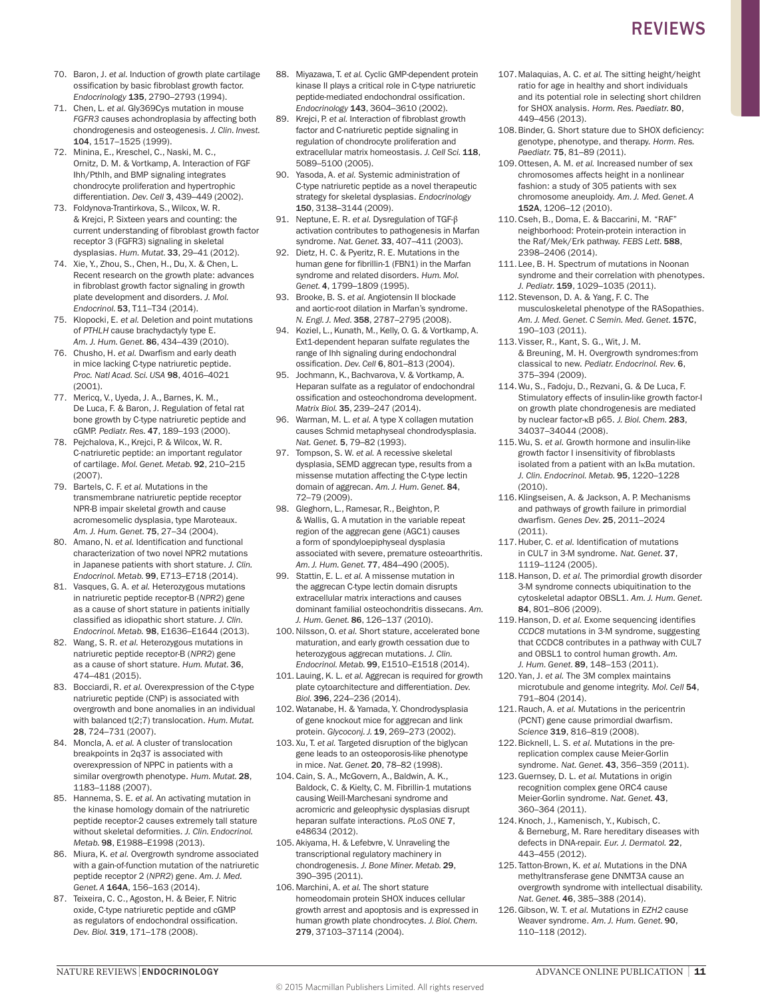- 70. Baron, J. *et al.* Induction of growth plate cartilage ossification by basic fibroblast growth factor. *Endocrinology* 135, 2790–2793 (1994).
- 71. Chen, L. *et al.* Gly369Cys mutation in mouse *FGFR3* causes achondroplasia by affecting both chondrogenesis and osteogenesis. *J. Clin. Invest.*  104, 1517–1525 (1999).
- 72. Minina, E., Kreschel, C., Naski, M. C., Ornitz, D. M. & Vortkamp, A. Interaction of FGF Ihh/Pthlh, and BMP signaling integrates chondrocyte proliferation and hypertrophic differentiation. *Dev. Cell* 3, 439–449 (2002).
- 73. Foldynova-Trantirkova, S., Wilcox, W. R. & Krejci, P. Sixteen years and counting: the current understanding of fibroblast growth factor receptor 3 (FGFR3) signaling in skeletal dysplasias. *Hum. Mutat.* 33, 29–41 (2012).
- 74. Xie, Y., Zhou, S., Chen, H., Du, X. & Chen, L. Recent research on the growth plate: advances in fibroblast growth factor signaling in growth plate development and disorders. *J. Mol. Endocrinol.* 53, T11–T34 (2014).
- 75. Klopocki, E. *et al.* Deletion and point mutations of *PTHLH* cause brachydactyly type E. *Am. J. Hum. Genet.* 86, 434–439 (2010).
- 76. Chusho, H. *et al.* Dwarfism and early death in mice lacking C‑type natriuretic peptide. *Proc. Natl Acad. Sci. USA* 98, 4016–4021 (2001).
- 77. Mericq, V., Uyeda, J. A., Barnes, K. M., De Luca, F. & Baron, J. Regulation of fetal rat bone growth by C‑type natriuretic peptide and cGMP. *Pediatr. Res.* 47, 189–193 (2000).
- 78. Pejchalova, K., Krejci, P. & Wilcox, W. R. C‑natriuretic peptide: an important regulator of cartilage. *Mol. Genet. Metab.* 92, 210–215 (2007).
- 79. Bartels, C. F. *et al.* Mutations in the transmembrane natriuretic peptide receptor NPR‑B impair skeletal growth and cause acromesomelic dysplasia, type Maroteaux. *Am. J. Hum. Genet.* 75, 27–34 (2004).
- 80. Amano, N. *et al.* Identification and functional characterization of two novel NPR2 mutations in Japanese patients with short stature. *J. Clin. Endocrinol. Metab.* 99, E713–E718 (2014).
- 81. Vasques, G. A. *et al.* Heterozygous mutations in natriuretic peptide receptor‑B (*NPR2*) gene as a cause of short stature in patients initially classified as idiopathic short stature. *J. Clin. Endocrinol. Metab.* 98, E1636–E1644 (2013).
- 82. Wang, S. R. *et al.* Heterozygous mutations in natriuretic peptide receptor‑B (*NPR2*) gene as a cause of short stature. *Hum. Mutat.* 36, 474–481 (2015).
- 83. Bocciardi, R. et al. Overexpression of the C-type natriuretic peptide (CNP) is associated with overgrowth and bone anomalies in an individual with balanced t(2;7) translocation. *Hum. Mutat.*  28, 724–731 (2007).
- 84. Moncla, A. *et al.* A cluster of translocation breakpoints in 2q37 is associated with overexpression of NPPC in patients with a similar overgrowth phenotype. *Hum. Mutat.* 28, 1183–1188 (2007).
- 85. Hannema, S. E. *et al.* An activating mutation in the kinase homology domain of the natriuretic peptide receptor‑2 causes extremely tall stature without skeletal deformities. *J. Clin. Endocrinol. Metab.* 98, E1988–E1998 (2013).
- 86. Miura, K. *et al.* Overgrowth syndrome associated with a gain-of-function mutation of the natriuretic peptide receptor 2 (*NPR2*) gene. *Am. J. Med. Genet. A* 164A, 156–163 (2014).
- 87. Teixeira, C. C., Agoston, H. & Beier, F. Nitric oxide, C‑type natriuretic peptide and cGMP as regulators of endochondral ossification. *Dev. Biol.* 319, 171–178 (2008).
- 88. Miyazawa, T. *et al.* Cyclic GMP-dependent protein kinase II plays a critical role in C-type natriuretic peptide-mediated endochondral ossification. *Endocrinology* 143, 3604–3610 (2002).
- 89. Krejci, P. *et al.* Interaction of fibroblast growth factor and C‑natriuretic peptide signaling in regulation of chondrocyte proliferation and extracellular matrix homeostasis. *J. Cell Sci.* 118, 5089–5100 (2005).
- 90. Yasoda, A. *et al.* Systemic administration of C-type natriuretic peptide as a novel therapeutic strategy for skeletal dysplasias. *Endocrinology* 150, 3138–3144 (2009).
- 91. Neptune, E. R. *et al.* Dysregulation of TGF-β activation contributes to pathogenesis in Marfan syndrome. *Nat. Genet.* 33, 407–411 (2003).
- 92. Dietz, H. C. & Pyeritz, R. E. Mutations in the human gene for fibrillin-1 (FBN1) in the Marfan syndrome and related disorders. *Hum. Mol. Genet.* 4, 1799–1809 (1995).
- 93. Brooke, B. S. *et al.* Angiotensin II blockade and aortic-root dilation in Marfan's syndrome. *N. Engl. J. Med.* 358, 2787–2795 (2008).
- 94. Koziel, L., Kunath, M., Kelly, O. G. & Vortkamp, A. Ext1-dependent heparan sulfate regulates the range of Ihh signaling during endochondral ossification. *Dev. Cell* 6, 801–813 (2004).
- 95. Jochmann, K., Bachvarova, V. & Vortkamp, A. Heparan sulfate as a regulator of endochondral ossification and osteochondroma development. *Matrix Biol.* 35, 239–247 (2014).
- 96. Warman, M. L. *et al.* A type X collagen mutation causes Schmid metaphyseal chondrodysplasia. *Nat. Genet.* 5, 79–82 (1993).
- 97. Tompson, S. W. *et al.* A recessive skeletal dysplasia, SEMD aggrecan type, results from a missense mutation affecting the C‑type lectin domain of aggrecan. *Am. J. Hum. Genet.* 84, 72–79 (2009).
- 98. Gleghorn, L., Ramesar, R., Beighton, P. & Wallis, G. A mutation in the variable repeat region of the aggrecan gene (AGC1) causes a form of spondyloepiphyseal dysplasia associated with severe, premature osteoarthritis. *Am. J. Hum. Genet.* 77, 484–490 (2005).
- 99. Stattin, E. L. *et al.* A missense mutation in the aggrecan C‑type lectin domain disrupts extracellular matrix interactions and causes dominant familial osteochondritis dissecans. *Am. J. Hum. Genet.* 86, 126–137 (2010).
- 100.Nilsson, O. *et al.* Short stature, accelerated bone maturation, and early growth cessation due to heterozygous aggrecan mutations. *J. Clin. Endocrinol. Metab.* 99, E1510–E1518 (2014).
- 101. Lauing, K. L. *et al.* Aggrecan is required for growth plate cytoarchitecture and differentiation. *Dev. Biol.* 396, 224–236 (2014).
- 102. Watanabe, H. & Yamada, Y. Chondrodysplasia of gene knockout mice for aggrecan and link protein. *Glycoconj. J.* 19, 269–273 (2002).
- 103. Xu, T. *et al.* Targeted disruption of the biglycan gene leads to an osteoporosis-like phenotype in mice. *Nat. Genet.* 20, 78–82 (1998).
- 104.Cain, S. A., McGovern, A., Baldwin, A. K., Baldock, C. & Kielty, C. M. Fibrillin-1 mutations causing Weill-Marchesani syndrome and acromicric and geleophysic dysplasias disrupt heparan sulfate interactions. *PLoS ONE* 7, e48634 (2012).
- 105. Akiyama, H. & Lefebvre, V. Unraveling the transcriptional regulatory machinery in chondrogenesis. *J. Bone Miner. Metab.* 29, 390–395 (2011).
- 106. Marchini, A. *et al.* The short stature homeodomain protein SHOX induces cellular growth arrest and apoptosis and is expressed in human growth plate chondrocytes. *J. Biol. Chem.*  279, 37103–37114 (2004).
- 107.Malaquias, A. C. *et al.* The sitting height/height ratio for age in healthy and short individuals and its potential role in selecting short children for SHOX analysis. *Horm. Res. Paediatr.* 80, 449–456 (2013).
- 108.Binder, G. Short stature due to SHOX deficiency: genotype, phenotype, and therapy. *Horm. Res. Paediatr.* 75, 81–89 (2011).
- 109.Ottesen, A. M. *et al.* Increased number of sex chromosomes affects height in a nonlinear fashion: a study of 305 patients with sex chromosome aneuploidy. *Am. J. Med. Genet. A*  152A, 1206–12 (2010).
- 110.Cseh, B., Doma, E. & Baccarini, M. "RAF" neighborhood: Protein-protein interaction in the Raf/Mek/Erk pathway. *FEBS Lett.* 588, 2398–2406 (2014).
- 111.Lee, B. H. Spectrum of mutations in Noonan syndrome and their correlation with phenotypes. *J. Pediatr.* 159, 1029–1035 (2011).
- 112.Stevenson, D. A. & Yang, F. C. The musculoskeletal phenotype of the RASopathies. *Am. J. Med. Genet. C Semin. Med. Genet.* 157C, 190–103 (2011).
- 113.Visser, R., Kant, S. G., Wit, J. M. & Breuning, M. H. Overgrowth syndromes:from classical to new. *Pediatr. Endocrinol. Rev.* 6, 375–394 (2009).
- 114.Wu, S., Fadoju, D., Rezvani, G. & De Luca, F. Stimulatory effects of insulin-like growth factor-I on growth plate chondrogenesis are mediated by nuclear factor-κB p65. *J. Biol. Chem.* 283, 34037–34044 (2008).
- 115.Wu, S. *et al.* Growth hormone and insulin-like growth factor I insensitivity of fibroblasts isolated from a patient with an IκBα mutation. *J. Clin. Endocrinol. Metab.* 95, 1220–1228 (2010).
- 116.Klingseisen, A. & Jackson, A. P. Mechanisms and pathways of growth failure in primordial dwarfism. *Genes Dev.* 25, 2011–2024 (2011).
- 117.Huber, C. *et al.* Identification of mutations in CUL7 in 3‑M syndrome. *Nat. Genet.* 37, 1119–1124 (2005).
- 118.Hanson, D. *et al.* The primordial growth disorder 3‑M syndrome connects ubiquitination to the cytoskeletal adaptor OBSL1. *Am. J. Hum. Genet.*  84, 801–806 (2009).
- 119.Hanson, D. *et al.* Exome sequencing identifies *CCDC8* mutations in 3‑M syndrome, suggesting that CCDC8 contributes in a pathway with CUL7 and OBSL1 to control human growth. *Am. J. Hum. Genet.* 89, 148–153 (2011).
- 120.Yan, J. *et al.* The 3M complex maintains microtubule and genome integrity. *Mol. Cell* 54, 791–804 (2014).
- 121.Rauch, A. *et al.* Mutations in the pericentrin (PCNT) gene cause primordial dwarfism. *Science* 319, 816–819 (2008).
- 122.Bicknell, L. S. *et al.* Mutations in the prereplication complex cause Meier-Gorlin syndrome. *Nat. Genet.* 43, 356–359 (2011).
- 123.Guernsey, D. L. *et al.* Mutations in origin recognition complex gene ORC4 cause Meier-Gorlin syndrome. *Nat. Genet.* 43, 360–364 (2011).
- 124.Knoch, J., Kamenisch, Y., Kubisch, C. & Berneburg, M. Rare hereditary diseases with defects in DNA-repair. *Eur. J. Dermatol.* 22, 443–455 (2012).
- 125.Tatton-Brown, K. *et al.* Mutations in the DNA methyltransferase gene DNMT3A cause an overgrowth syndrome with intellectual disability. *Nat. Genet.* 46, 385–388 (2014).
- 126.Gibson, W. T. *et al.* Mutations in *EZH2* cause Weaver syndrome. *Am. J. Hum. Genet.* 90, 110–118 (2012).